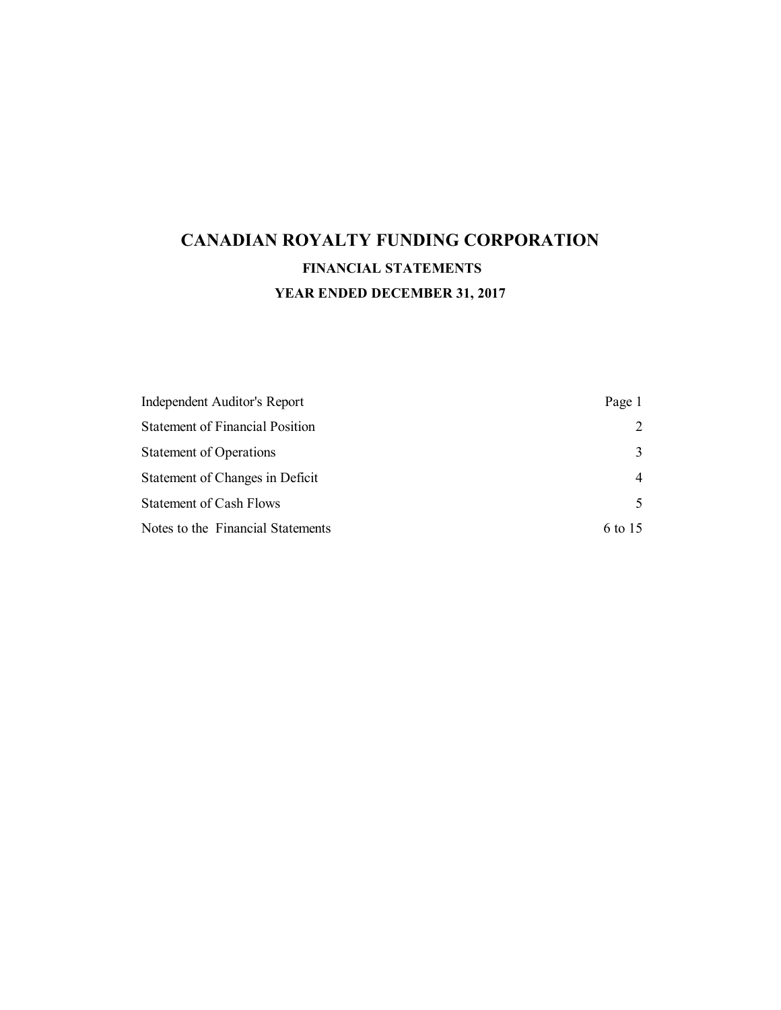# **CANADIAN ROYALTY FUNDING CORPORATION FINANCIAL STATEMENTS YEAR ENDED DECEMBER 31, 2017**

| Independent Auditor's Report           | Page 1  |
|----------------------------------------|---------|
| <b>Statement of Financial Position</b> |         |
| <b>Statement of Operations</b>         |         |
| Statement of Changes in Deficit        | 4       |
| <b>Statement of Cash Flows</b>         |         |
| Notes to the Financial Statements      | 6 to 15 |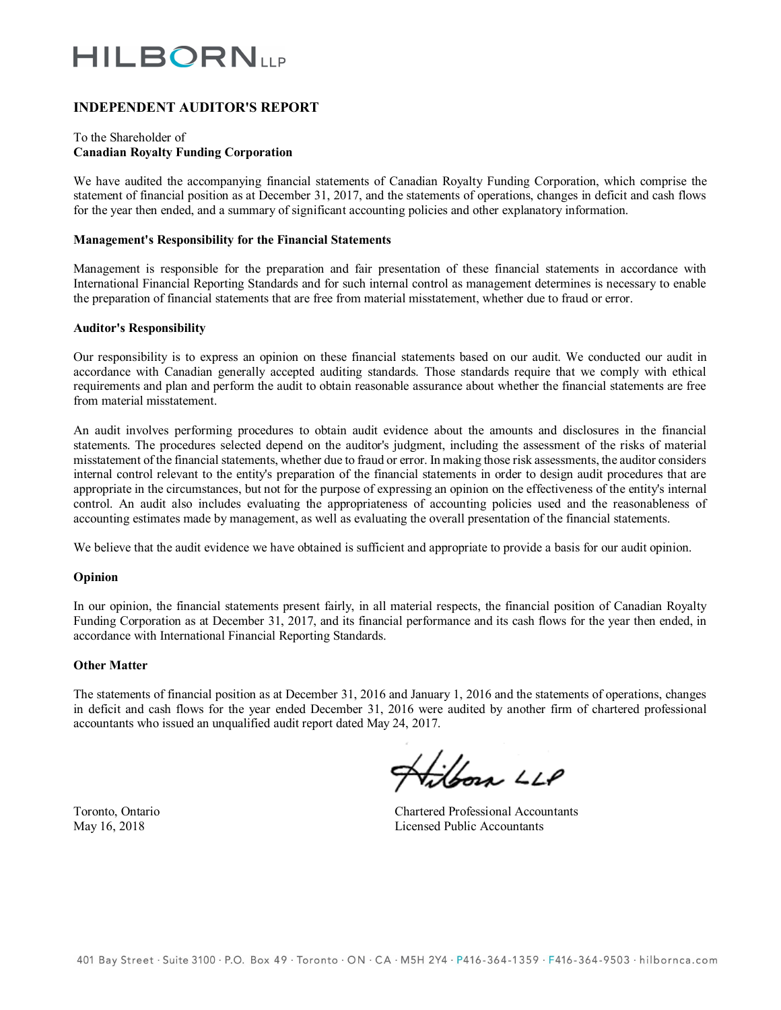# **HILBORNLIP**

#### **INDEPENDENT AUDITOR'S REPORT**

#### To the Shareholder of **Canadian Royalty Funding Corporation**

We have audited the accompanying financial statements of Canadian Royalty Funding Corporation, which comprise the statement of financial position as at December 31, 2017, and the statements of operations, changes in deficit and cash flows for the year then ended, and a summary of significant accounting policies and other explanatory information.

#### **Management's Responsibility for the Financial Statements**

Management is responsible for the preparation and fair presentation of these financial statements in accordance with International Financial Reporting Standards and for such internal control as management determines is necessary to enable the preparation of financial statements that are free from material misstatement, whether due to fraud or error.

#### **Auditor's Responsibility**

Our responsibility is to express an opinion on these financial statements based on our audit. We conducted our audit in accordance with Canadian generally accepted auditing standards. Those standards require that we comply with ethical requirements and plan and perform the audit to obtain reasonable assurance about whether the financial statements are free from material misstatement.

An audit involves performing procedures to obtain audit evidence about the amounts and disclosures in the financial statements. The procedures selected depend on the auditor's judgment, including the assessment of the risks of material misstatement of the financial statements, whether due to fraud or error. In making those risk assessments, the auditor considers internal control relevant to the entity's preparation of the financial statements in order to design audit procedures that are appropriate in the circumstances, but not for the purpose of expressing an opinion on the effectiveness of the entity's internal control. An audit also includes evaluating the appropriateness of accounting policies used and the reasonableness of accounting estimates made by management, as well as evaluating the overall presentation of the financial statements.

We believe that the audit evidence we have obtained is sufficient and appropriate to provide a basis for our audit opinion.

#### **Opinion**

In our opinion, the financial statements present fairly, in all material respects, the financial position of Canadian Royalty Funding Corporation as at December 31, 2017, and its financial performance and its cash flows for the year then ended, in accordance with International Financial Reporting Standards.

#### **Other Matter**

The statements of financial position as at December 31, 2016 and January 1, 2016 and the statements of operations, changes in deficit and cash flows for the year ended December 31, 2016 were audited by another firm of chartered professional accountants who issued an unqualified audit report dated May 24, 2017.

Hilborn LLP

Toronto, Ontario Chartered Professional Accountants May 16, 2018 **Licensed Public Accountants**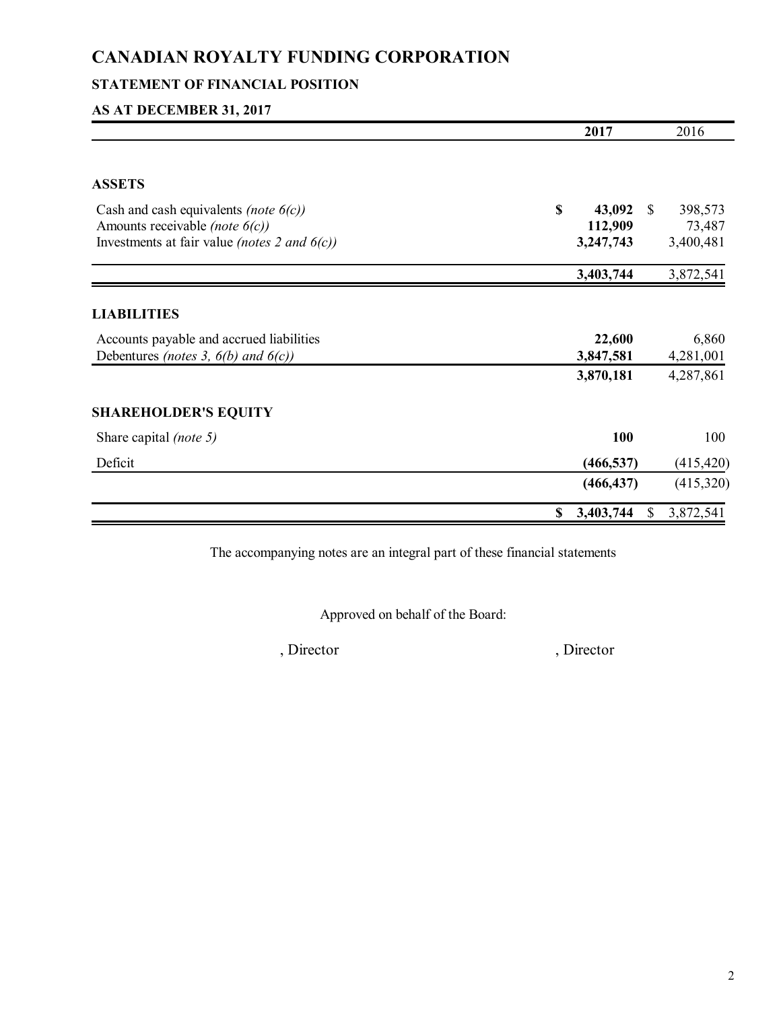# **STATEMENT OF FINANCIAL POSITION**

### **AS AT DECEMBER 31, 2017**

|                                                    | 2017            | 2016                     |
|----------------------------------------------------|-----------------|--------------------------|
|                                                    |                 |                          |
| <b>ASSETS</b>                                      |                 |                          |
| Cash and cash equivalents (note $6(c)$ )           | \$<br>43,092    | 398,573<br><sup>\$</sup> |
| Amounts receivable <i>(note <math>6(c)</math>)</i> | 112,909         | 73,487                   |
| Investments at fair value (notes 2 and $6(c)$ )    | 3,247,743       | 3,400,481                |
|                                                    | 3,403,744       | 3,872,541                |
| <b>LIABILITIES</b>                                 |                 |                          |
| Accounts payable and accrued liabilities           | 22,600          | 6,860                    |
| Debentures (notes 3, $6(b)$ and $6(c)$ )           | 3,847,581       | 4,281,001                |
|                                                    | 3,870,181       | 4,287,861                |
| <b>SHAREHOLDER'S EQUITY</b>                        |                 |                          |
| Share capital (note 5)                             | 100             | 100                      |
| Deficit                                            | (466, 537)      | (415, 420)               |
|                                                    | (466, 437)      | (415,320)                |
|                                                    | \$<br>3,403,744 | 3,872,541<br>\$          |

The accompanying notes are an integral part of these financial statements

Approved on behalf of the Board:

, Director , Director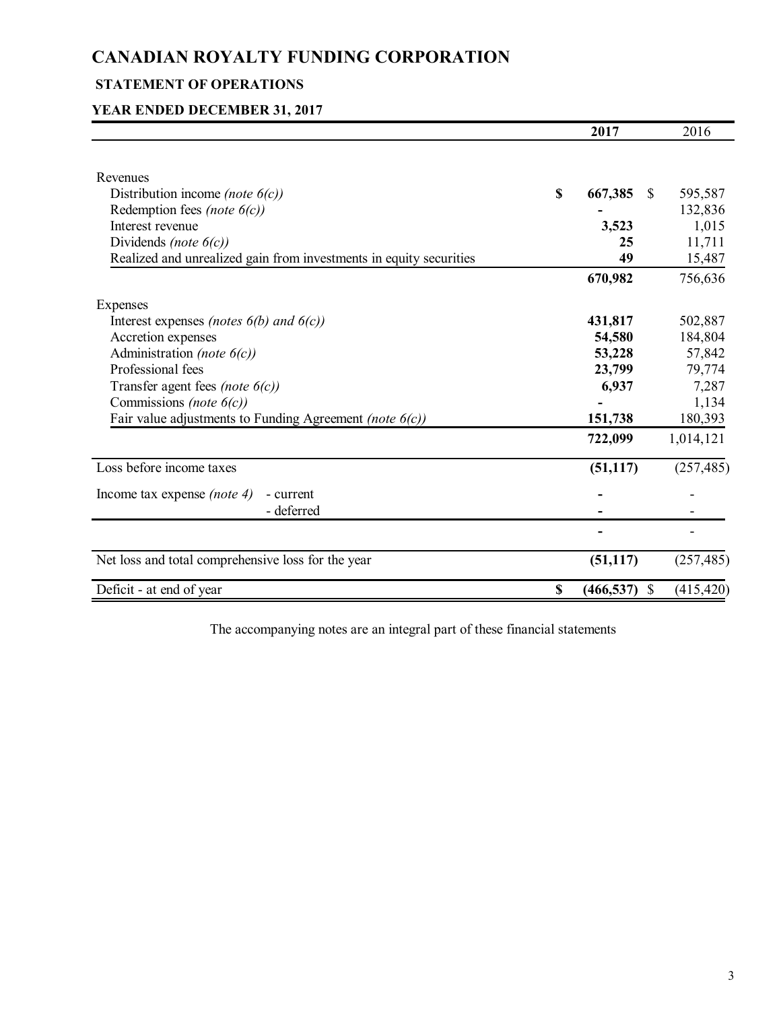### **STATEMENT OF OPERATIONS**

### **YEAR ENDED DECEMBER 31, 2017**

|                                                                    | 2017                             | 2016       |
|--------------------------------------------------------------------|----------------------------------|------------|
|                                                                    |                                  |            |
| Revenues                                                           |                                  |            |
| Distribution income (note $6(c)$ )                                 | \$<br>667,385<br><sup>S</sup>    | 595,587    |
| Redemption fees (note $6(c)$ )                                     |                                  | 132,836    |
| Interest revenue                                                   | 3,523                            | 1,015      |
| Dividends (note $6(c)$ )                                           | 25                               | 11,711     |
| Realized and unrealized gain from investments in equity securities | 49                               | 15,487     |
|                                                                    | 670,982                          | 756,636    |
| Expenses                                                           |                                  |            |
| Interest expenses <i>(notes 6(b)</i> and $6(c)$ )                  | 431,817                          | 502,887    |
| Accretion expenses                                                 | 54,580                           | 184,804    |
| Administration (note $6(c)$ )                                      | 53,228                           | 57,842     |
| Professional fees                                                  | 23,799                           | 79,774     |
| Transfer agent fees (note $6(c)$ )                                 | 6,937                            | 7,287      |
| Commissions (note $6(c)$ )                                         |                                  | 1,134      |
| Fair value adjustments to Funding Agreement (note $6(c)$ )         | 151,738                          | 180,393    |
|                                                                    | 722,099                          | 1,014,121  |
| Loss before income taxes                                           | (51, 117)                        | (257, 485) |
| Income tax expense (note 4)<br>- current                           |                                  |            |
| - deferred                                                         |                                  |            |
|                                                                    |                                  |            |
| Net loss and total comprehensive loss for the year                 | (51, 117)                        | (257, 485) |
| Deficit - at end of year                                           | \$<br>(466, 537)<br>$\mathbb{S}$ | (415, 420) |

The accompanying notes are an integral part of these financial statements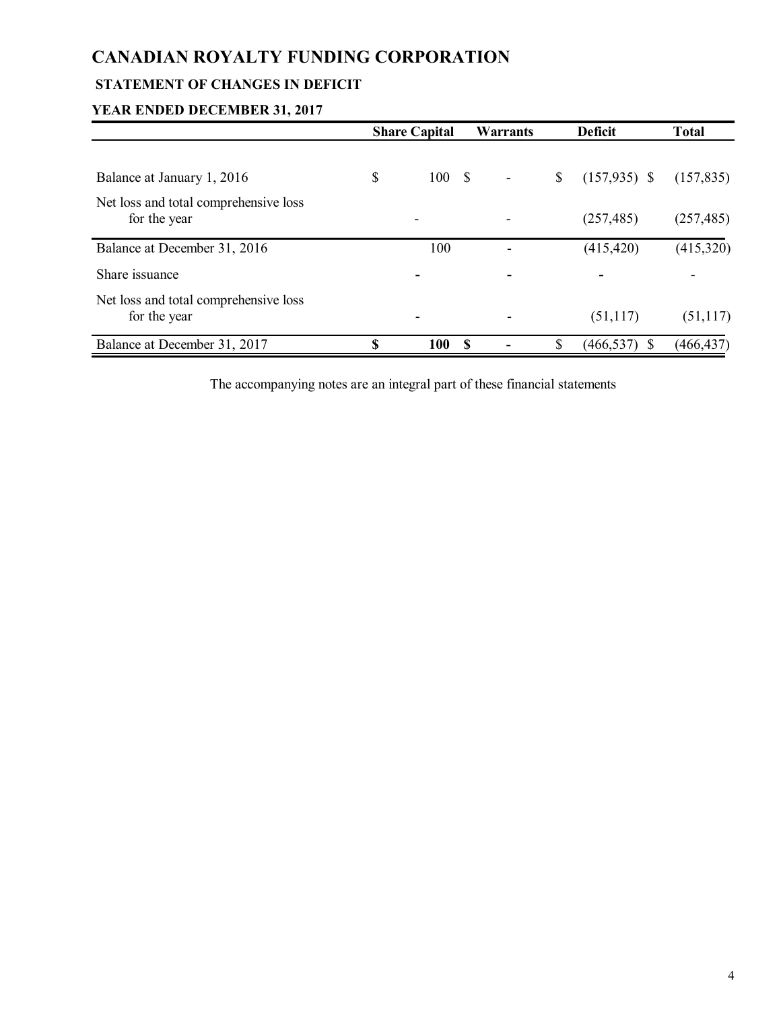# **STATEMENT OF CHANGES IN DEFICIT**

### **YEAR ENDED DECEMBER 31, 2017**

|                                                       | <b>Share Capital</b><br><b>Warrants</b> |     | <b>Deficit</b> |   | <b>Total</b> |                  |            |
|-------------------------------------------------------|-----------------------------------------|-----|----------------|---|--------------|------------------|------------|
|                                                       |                                         |     |                |   |              |                  |            |
| Balance at January 1, 2016                            | \$                                      | 100 | - S            | ٠ | \$           | $(157,935)$ \$   | (157, 835) |
| Net loss and total comprehensive loss<br>for the year |                                         |     |                |   |              | (257, 485)       | (257, 485) |
| Balance at December 31, 2016                          |                                         | 100 |                |   |              | (415, 420)       | (415,320)  |
| Share issuance                                        |                                         |     |                |   |              |                  |            |
| Net loss and total comprehensive loss<br>for the year |                                         |     |                |   |              | (51, 117)        | (51, 117)  |
| Balance at December 31, 2017                          | \$                                      | 100 | -8             |   | \$           | (466, 537)<br>-S | (466, 437) |

The accompanying notes are an integral part of these financial statements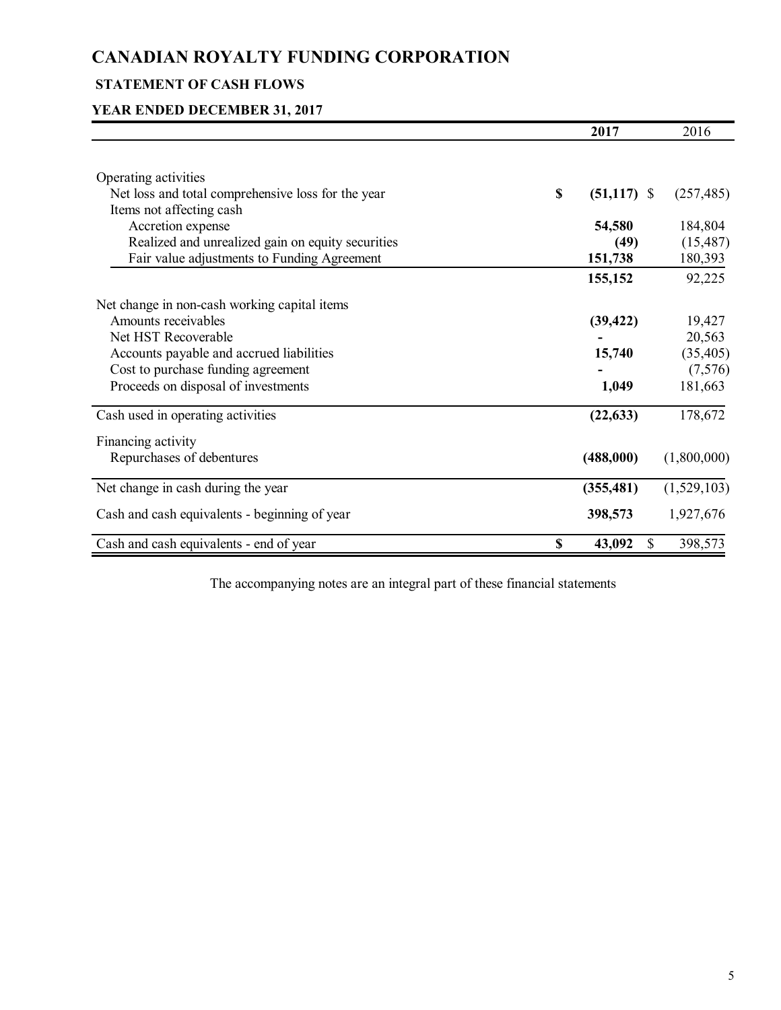### **STATEMENT OF CASH FLOWS**

### **YEAR ENDED DECEMBER 31, 2017**

|                                                                                                                                                                                                                     | 2017                         | 2016                                                |
|---------------------------------------------------------------------------------------------------------------------------------------------------------------------------------------------------------------------|------------------------------|-----------------------------------------------------|
|                                                                                                                                                                                                                     |                              |                                                     |
| Operating activities<br>Net loss and total comprehensive loss for the year                                                                                                                                          | \$<br>$(51, 117)$ \$         | (257, 485)                                          |
| Items not affecting cash<br>Accretion expense<br>Realized and unrealized gain on equity securities                                                                                                                  | 54,580<br>(49)               | 184,804<br>(15, 487)                                |
| Fair value adjustments to Funding Agreement                                                                                                                                                                         | 151,738                      | 180,393                                             |
|                                                                                                                                                                                                                     | 155,152                      | 92,225                                              |
| Net change in non-cash working capital items<br>Amounts receivables<br>Net HST Recoverable<br>Accounts payable and accrued liabilities<br>Cost to purchase funding agreement<br>Proceeds on disposal of investments | (39, 422)<br>15,740<br>1,049 | 19,427<br>20,563<br>(35, 405)<br>(7,576)<br>181,663 |
| Cash used in operating activities                                                                                                                                                                                   | (22, 633)                    | 178,672                                             |
| Financing activity<br>Repurchases of debentures                                                                                                                                                                     | (488,000)                    | (1,800,000)                                         |
| Net change in cash during the year                                                                                                                                                                                  | (355, 481)                   | (1,529,103)                                         |
| Cash and cash equivalents - beginning of year                                                                                                                                                                       | 398,573                      | 1,927,676                                           |
| Cash and cash equivalents - end of year                                                                                                                                                                             | \$<br>43,092                 | $\mathbb{S}$<br>398,573                             |

The accompanying notes are an integral part of these financial statements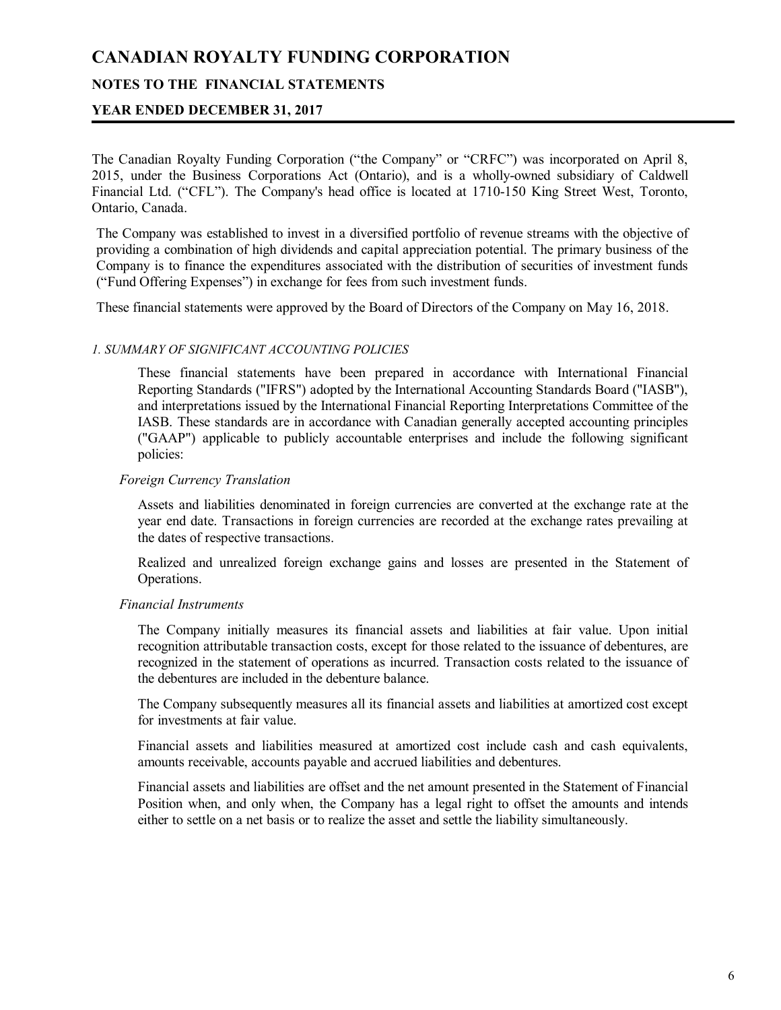#### **NOTES TO THE FINANCIAL STATEMENTS**

#### **YEAR ENDED DECEMBER 31, 2017**

The Canadian Royalty Funding Corporation ("the Company" or "CRFC") was incorporated on April 8, 2015, under the Business Corporations Act (Ontario), and is a wholly-owned subsidiary of Caldwell Financial Ltd. ("CFL"). The Company's head office is located at 1710-150 King Street West, Toronto, Ontario, Canada.

The Company was established to invest in a diversified portfolio of revenue streams with the objective of providing a combination of high dividends and capital appreciation potential. The primary business of the Company is to finance the expenditures associated with the distribution of securities of investment funds ("Fund Offering Expenses") in exchange for fees from such investment funds.

These financial statements were approved by the Board of Directors of the Company on May 16, 2018.

#### *1. SUMMARY OF SIGNIFICANT ACCOUNTING POLICIES*

These financial statements have been prepared in accordance with International Financial Reporting Standards ("IFRS") adopted by the International Accounting Standards Board ("IASB"), and interpretations issued by the International Financial Reporting Interpretations Committee of the IASB. These standards are in accordance with Canadian generally accepted accounting principles ("GAAP") applicable to publicly accountable enterprises and include the following significant policies:

#### *Foreign Currency Translation*

Assets and liabilities denominated in foreign currencies are converted at the exchange rate at the year end date. Transactions in foreign currencies are recorded at the exchange rates prevailing at the dates of respective transactions.

Realized and unrealized foreign exchange gains and losses are presented in the Statement of Operations.

#### *Financial Instruments*

The Company initially measures its financial assets and liabilities at fair value. Upon initial recognition attributable transaction costs, except for those related to the issuance of debentures, are recognized in the statement of operations as incurred. Transaction costs related to the issuance of the debentures are included in the debenture balance.

The Company subsequently measures all its financial assets and liabilities at amortized cost except for investments at fair value.

Financial assets and liabilities measured at amortized cost include cash and cash equivalents, amounts receivable, accounts payable and accrued liabilities and debentures.

Financial assets and liabilities are offset and the net amount presented in the Statement of Financial Position when, and only when, the Company has a legal right to offset the amounts and intends either to settle on a net basis or to realize the asset and settle the liability simultaneously.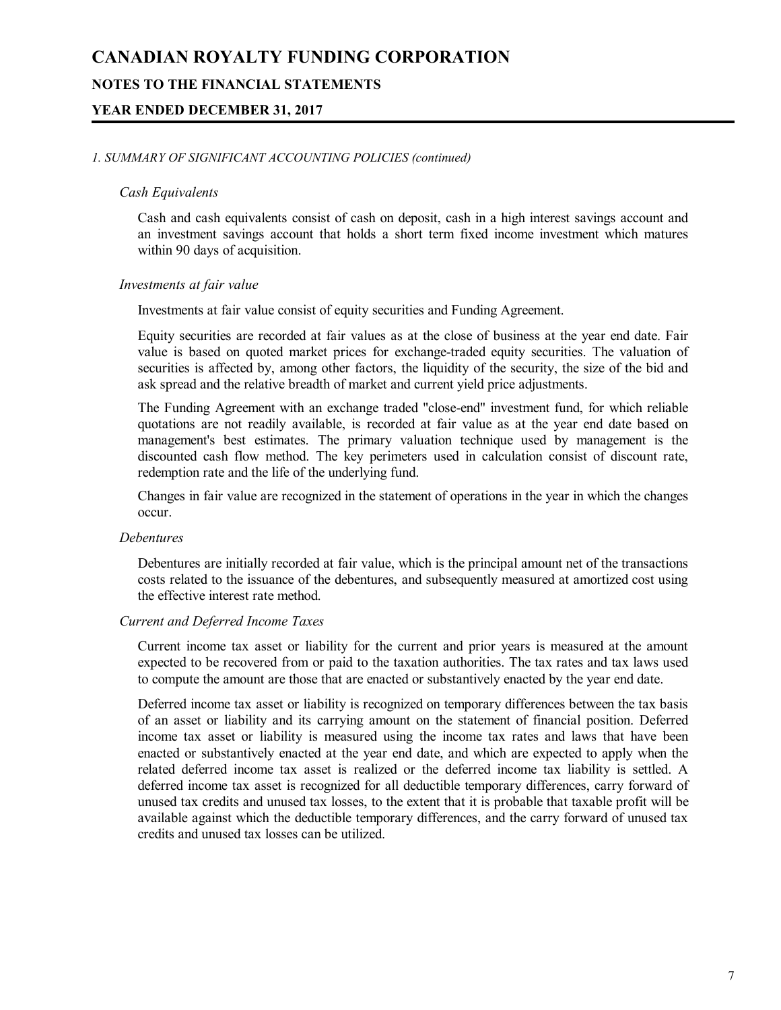#### **NOTES TO THE FINANCIAL STATEMENTS**

#### **YEAR ENDED DECEMBER 31, 2017**

#### *1. SUMMARY OF SIGNIFICANT ACCOUNTING POLICIES (continued)*

#### *Cash Equivalents*

Cash and cash equivalents consist of cash on deposit, cash in a high interest savings account and an investment savings account that holds a short term fixed income investment which matures within 90 days of acquisition.

#### *Investments at fair value*

Investments at fair value consist of equity securities and Funding Agreement.

Equity securities are recorded at fair values as at the close of business at the year end date. Fair value is based on quoted market prices for exchange-traded equity securities. The valuation of securities is affected by, among other factors, the liquidity of the security, the size of the bid and ask spread and the relative breadth of market and current yield price adjustments.

The Funding Agreement with an exchange traded "close-end" investment fund, for which reliable quotations are not readily available, is recorded at fair value as at the year end date based on management's best estimates. The primary valuation technique used by management is the discounted cash flow method. The key perimeters used in calculation consist of discount rate, redemption rate and the life of the underlying fund.

Changes in fair value are recognized in the statement of operations in the year in which the changes occur.

#### *Debentures*

Debentures are initially recorded at fair value, which is the principal amount net of the transactions costs related to the issuance of the debentures, and subsequently measured at amortized cost using the effective interest rate method.

#### *Current and Deferred Income Taxes*

Current income tax asset or liability for the current and prior years is measured at the amount expected to be recovered from or paid to the taxation authorities. The tax rates and tax laws used to compute the amount are those that are enacted or substantively enacted by the year end date.

Deferred income tax asset or liability is recognized on temporary differences between the tax basis of an asset or liability and its carrying amount on the statement of financial position. Deferred income tax asset or liability is measured using the income tax rates and laws that have been enacted or substantively enacted at the year end date, and which are expected to apply when the related deferred income tax asset is realized or the deferred income tax liability is settled. A deferred income tax asset is recognized for all deductible temporary differences, carry forward of unused tax credits and unused tax losses, to the extent that it is probable that taxable profit will be available against which the deductible temporary differences, and the carry forward of unused tax credits and unused tax losses can be utilized.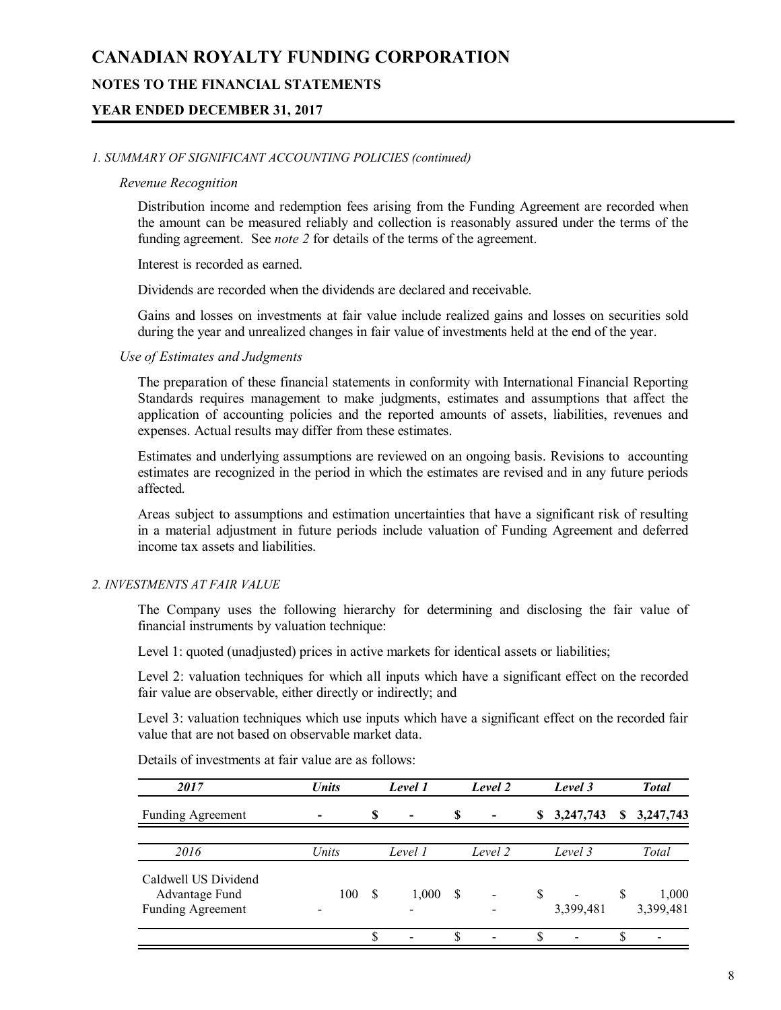#### **NOTES TO THE FINANCIAL STATEMENTS**

#### **YEAR ENDED DECEMBER 31, 2017**

#### *1. SUMMARY OF SIGNIFICANT ACCOUNTING POLICIES (continued)*

#### *Revenue Recognition*

Distribution income and redemption fees arising from the Funding Agreement are recorded when the amount can be measured reliably and collection is reasonably assured under the terms of the funding agreement. See *note 2* for details of the terms of the agreement.

Interest is recorded as earned.

Dividends are recorded when the dividends are declared and receivable.

Gains and losses on investments at fair value include realized gains and losses on securities sold during the year and unrealized changes in fair value of investments held at the end of the year.

#### *Use of Estimates and Judgments*

The preparation of these financial statements in conformity with International Financial Reporting Standards requires management to make judgments, estimates and assumptions that affect the application of accounting policies and the reported amounts of assets, liabilities, revenues and expenses. Actual results may differ from these estimates.

Estimates and underlying assumptions are reviewed on an ongoing basis. Revisions to accounting estimates are recognized in the period in which the estimates are revised and in any future periods affected.

Areas subject to assumptions and estimation uncertainties that have a significant risk of resulting in a material adjustment in future periods include valuation of Funding Agreement and deferred income tax assets and liabilities.

#### *2. INVESTMENTS AT FAIR VALUE*

The Company uses the following hierarchy for determining and disclosing the fair value of financial instruments by valuation technique:

Level 1: quoted (unadjusted) prices in active markets for identical assets or liabilities;

Level 2: valuation techniques for which all inputs which have a significant effect on the recorded fair value are observable, either directly or indirectly; and

Level 3: valuation techniques which use inputs which have a significant effect on the recorded fair value that are not based on observable market data.

| 2017                                                               | <b>Units</b>                    |   | Level 1                  |   | Level 2 |   | Level 3   |    | <b>Total</b>       |
|--------------------------------------------------------------------|---------------------------------|---|--------------------------|---|---------|---|-----------|----|--------------------|
| <b>Funding Agreement</b>                                           |                                 | S | $\overline{\phantom{a}}$ | S |         | S | 3,247,743 | S. | 3,247,743          |
| 2016                                                               | Units                           |   | Level 1                  |   | Level 2 |   | Level 3   |    | Total              |
| Caldwell US Dividend<br>Advantage Fund<br><b>Funding Agreement</b> | 100<br>$\overline{\phantom{0}}$ | S | 1,000                    | S |         | S | 3,399,481 | S  | 1,000<br>3,399,481 |
|                                                                    |                                 | S |                          | S |         | S |           | \$ |                    |

Details of investments at fair value are as follows: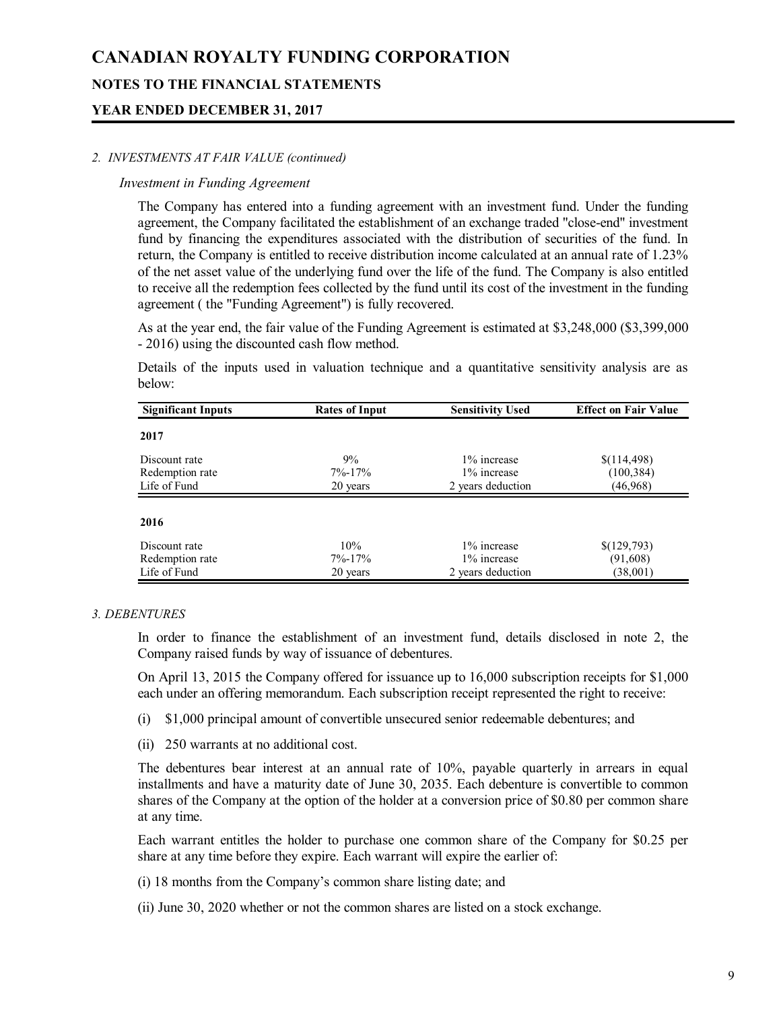#### **NOTES TO THE FINANCIAL STATEMENTS**

### **YEAR ENDED DECEMBER 31, 2017**

#### *2. INVESTMENTS AT FAIR VALUE (continued)*

#### *Investment in Funding Agreement*

The Company has entered into a funding agreement with an investment fund. Under the funding agreement, the Company facilitated the establishment of an exchange traded "close-end" investment fund by financing the expenditures associated with the distribution of securities of the fund. In return, the Company is entitled to receive distribution income calculated at an annual rate of 1.23% of the net asset value of the underlying fund over the life of the fund. The Company is also entitled to receive all the redemption fees collected by the fund until its cost of the investment in the funding agreement ( the "Funding Agreement") is fully recovered.

As at the year end, the fair value of the Funding Agreement is estimated at \$3,248,000 (\$3,399,000 - 2016) using the discounted cash flow method.

Details of the inputs used in valuation technique and a quantitative sensitivity analysis are as below:

| <b>Significant Inputs</b>        | <b>Rates of Input</b> | <b>Sensitivity Used</b>    | <b>Effect on Fair Value</b> |
|----------------------------------|-----------------------|----------------------------|-----------------------------|
| 2017                             |                       |                            |                             |
| Discount rate<br>Redemption rate | 9%<br>$7\% - 17\%$    | 1% increase<br>1% increase | \$(114,498)<br>(100, 384)   |
| Life of Fund                     | 20 years              | 2 years deduction          | (46,968)                    |
|                                  |                       |                            |                             |
| 2016                             |                       |                            |                             |
| Discount rate                    | 10%                   | 1% increase                | \$(129,793)                 |
| Redemption rate                  | $7\% - 17\%$          | 1% increase                | (91,608)                    |
| Life of Fund                     | 20 years              | 2 years deduction          | (38,001)                    |

#### *3. DEBENTURES*

In order to finance the establishment of an investment fund, details disclosed in note 2, the Company raised funds by way of issuance of debentures.

On April 13, 2015 the Company offered for issuance up to 16,000 subscription receipts for \$1,000 each under an offering memorandum. Each subscription receipt represented the right to receive:

- (i) \$1,000 principal amount of convertible unsecured senior redeemable debentures; and
- (ii) 250 warrants at no additional cost.

The debentures bear interest at an annual rate of 10%, payable quarterly in arrears in equal installments and have a maturity date of June 30, 2035. Each debenture is convertible to common shares of the Company at the option of the holder at a conversion price of \$0.80 per common share at any time.

Each warrant entitles the holder to purchase one common share of the Company for \$0.25 per share at any time before they expire. Each warrant will expire the earlier of:

(i) 18 months from the Company's common share listing date; and

(ii) June 30, 2020 whether or not the common shares are listed on a stock exchange.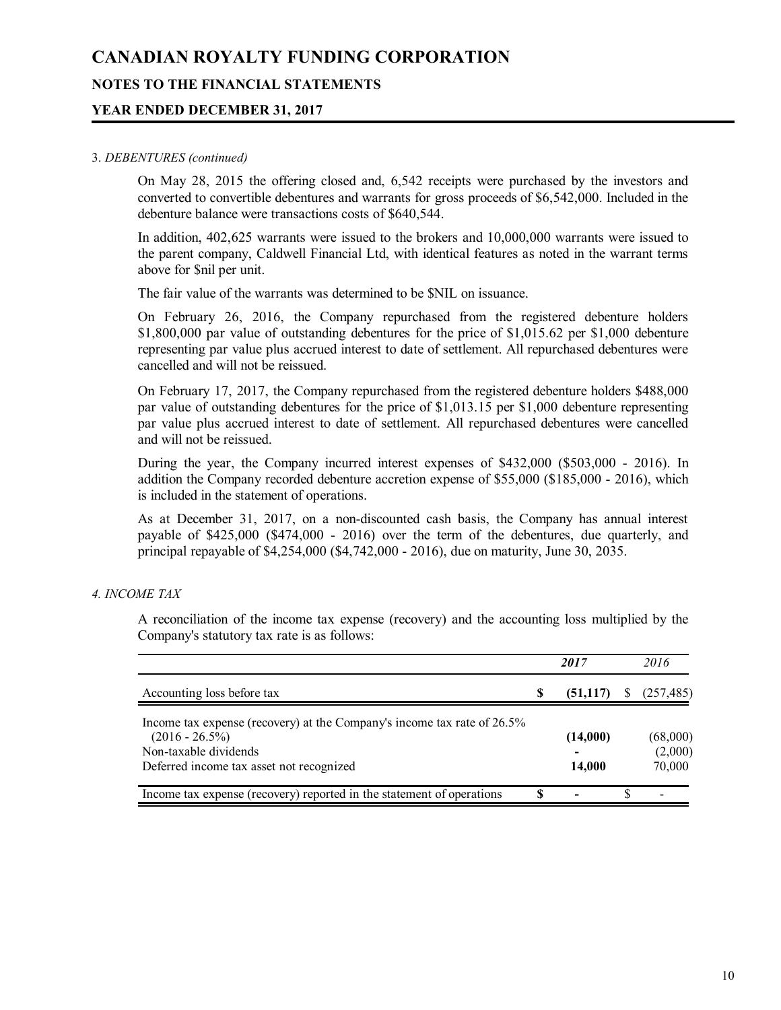#### **NOTES TO THE FINANCIAL STATEMENTS**

#### **YEAR ENDED DECEMBER 31, 2017**

#### 3. *DEBENTURES (continued)*

On May 28, 2015 the offering closed and, 6,542 receipts were purchased by the investors and converted to convertible debentures and warrants for gross proceeds of \$6,542,000. Included in the debenture balance were transactions costs of \$640,544.

In addition, 402,625 warrants were issued to the brokers and 10,000,000 warrants were issued to the parent company, Caldwell Financial Ltd, with identical features as noted in the warrant terms above for \$nil per unit.

The fair value of the warrants was determined to be \$NIL on issuance.

On February 26, 2016, the Company repurchased from the registered debenture holders \$1,800,000 par value of outstanding debentures for the price of \$1,015.62 per \$1,000 debenture representing par value plus accrued interest to date of settlement. All repurchased debentures were cancelled and will not be reissued.

On February 17, 2017, the Company repurchased from the registered debenture holders \$488,000 par value of outstanding debentures for the price of \$1,013.15 per \$1,000 debenture representing par value plus accrued interest to date of settlement. All repurchased debentures were cancelled and will not be reissued.

During the year, the Company incurred interest expenses of \$432,000 (\$503,000 - 2016). In addition the Company recorded debenture accretion expense of \$55,000 (\$185,000 - 2016), which is included in the statement of operations.

As at December 31, 2017, on a non-discounted cash basis, the Company has annual interest payable of \$425,000 (\$474,000 - 2016) over the term of the debentures, due quarterly, and principal repayable of \$4,254,000 (\$4,742,000 - 2016), due on maturity, June 30, 2035.

#### *4. INCOME TAX*

A reconciliation of the income tax expense (recovery) and the accounting loss multiplied by the Company's statutory tax rate is as follows:

|                                                                                                                                                                   |   | 2017               |   | 2016                          |
|-------------------------------------------------------------------------------------------------------------------------------------------------------------------|---|--------------------|---|-------------------------------|
| Accounting loss before tax                                                                                                                                        | S | (51,117)           | D | (257, 485)                    |
| Income tax expense (recovery) at the Company's income tax rate of 26.5%<br>$(2016 - 26.5\%)$<br>Non-taxable dividends<br>Deferred income tax asset not recognized |   | (14,000)<br>14,000 |   | (68,000)<br>(2,000)<br>70,000 |
| Income tax expense (recovery) reported in the statement of operations                                                                                             | S |                    |   |                               |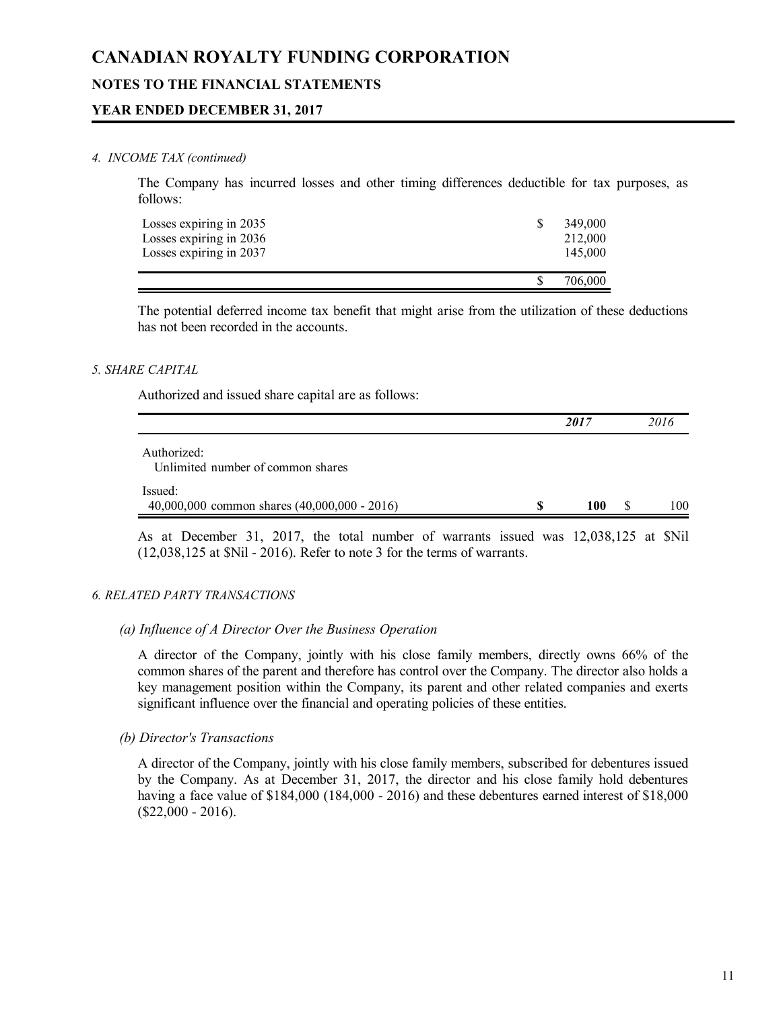#### **NOTES TO THE FINANCIAL STATEMENTS**

#### **YEAR ENDED DECEMBER 31, 2017**

#### *4. INCOME TAX (continued)*

The Company has incurred losses and other timing differences deductible for tax purposes, as follows:

| Losses expiring in 2035<br>Losses expiring in 2036<br>Losses expiring in 2037 | 349,000<br>212,000<br>145,000 |
|-------------------------------------------------------------------------------|-------------------------------|
|                                                                               | 706,000                       |

The potential deferred income tax benefit that might arise from the utilization of these deductions has not been recorded in the accounts.

#### *5. SHARE CAPITAL*

Authorized and issued share capital are as follows:

|                                                           |   | 2017 |     | 2016 |
|-----------------------------------------------------------|---|------|-----|------|
| Authorized:<br>Unlimited number of common shares          |   |      |     |      |
| Issued:<br>40,000,000 common shares $(40,000,000 - 2016)$ | S | 100  | \$. | 100  |

As at December 31, 2017, the total number of warrants issued was 12,038,125 at \$Nil (12,038,125 at \$Nil - 2016). Refer to note 3 for the terms of warrants.

#### *6. RELATED PARTY TRANSACTIONS*

#### *(a) Influence of A Director Over the Business Operation*

A director of the Company, jointly with his close family members, directly owns 66% of the common shares of the parent and therefore has control over the Company. The director also holds a key management position within the Company, its parent and other related companies and exerts significant influence over the financial and operating policies of these entities.

#### *(b) Director's Transactions*

A director of the Company, jointly with his close family members, subscribed for debentures issued by the Company. As at December 31, 2017, the director and his close family hold debentures having a face value of \$184,000 (184,000 - 2016) and these debentures earned interest of \$18,000  $($22,000 - 2016).$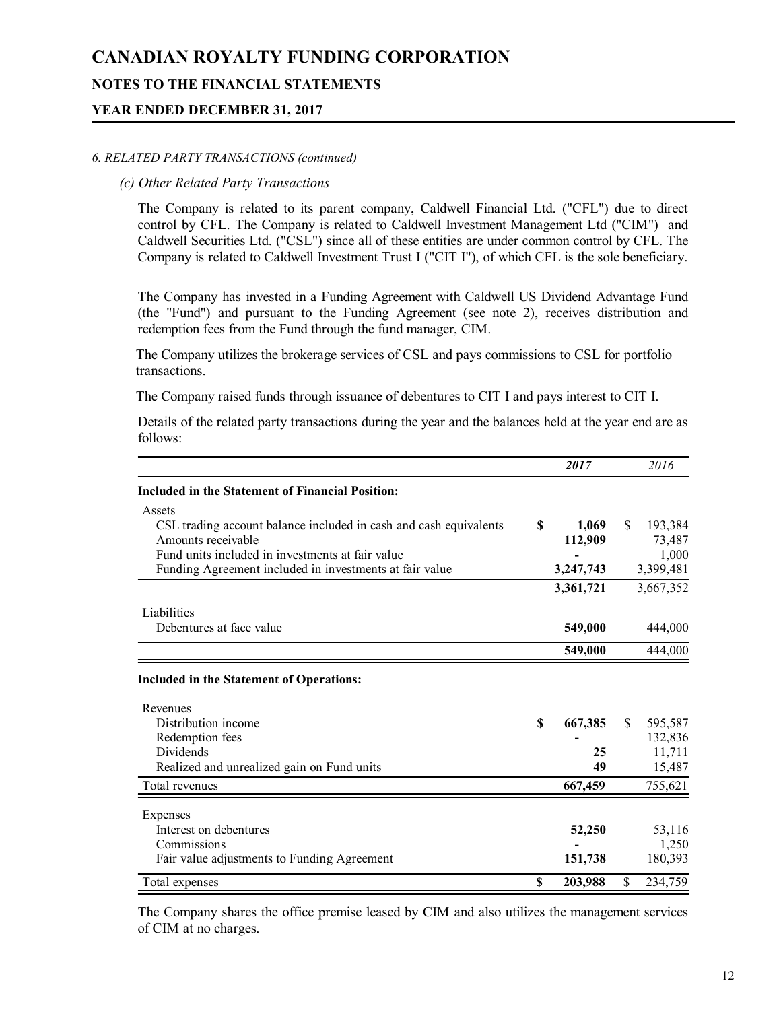#### **NOTES TO THE FINANCIAL STATEMENTS**

#### **YEAR ENDED DECEMBER 31, 2017**

#### *6. RELATED PARTY TRANSACTIONS (continued)*

#### *(c) Other Related Party Transactions*

The Company is related to its parent company, Caldwell Financial Ltd. ("CFL") due to direct control by CFL. The Company is related to Caldwell Investment Management Ltd ("CIM") and Caldwell Securities Ltd. ("CSL") since all of these entities are under common control by CFL. The Company is related to Caldwell Investment Trust I ("CIT I"), of which CFL is the sole beneficiary.

The Company has invested in a Funding Agreement with Caldwell US Dividend Advantage Fund (the "Fund") and pursuant to the Funding Agreement (see note 2), receives distribution and redemption fees from the Fund through the fund manager, CIM.

The Company utilizes the brokerage services of CSL and pays commissions to CSL for portfolio transactions.

The Company raised funds through issuance of debentures to CIT I and pays interest to CIT I.

Details of the related party transactions during the year and the balances held at the year end are as follows:

|                                                                   | 2017          |     | 2016      |
|-------------------------------------------------------------------|---------------|-----|-----------|
| <b>Included in the Statement of Financial Position:</b>           |               |     |           |
| Assets                                                            |               |     |           |
| CSL trading account balance included in cash and cash equivalents | \$<br>1,069   | \$. | 193,384   |
| Amounts receivable                                                | 112,909       |     | 73,487    |
| Fund units included in investments at fair value                  |               |     | 1,000     |
| Funding Agreement included in investments at fair value           | 3,247,743     |     | 3,399,481 |
|                                                                   | 3,361,721     |     | 3,667,352 |
| Liabilities                                                       |               |     |           |
| Debentures at face value                                          | 549,000       |     | 444,000   |
|                                                                   | 549,000       |     | 444,000   |
| <b>Included in the Statement of Operations:</b><br>Revenues       |               |     |           |
| Distribution income                                               | \$<br>667,385 | \$  | 595,587   |
| Redemption fees                                                   |               |     | 132,836   |
| Dividends                                                         | 25<br>49      |     | 11,711    |
| Realized and unrealized gain on Fund units                        |               |     | 15,487    |
| Total revenues                                                    | 667,459       |     | 755,621   |
| Expenses                                                          |               |     |           |
| Interest on debentures                                            | 52,250        |     | 53,116    |
| Commissions                                                       |               |     | 1,250     |
| Fair value adjustments to Funding Agreement                       | 151,738       |     | 180,393   |
| Total expenses                                                    | \$<br>203,988 | \$  | 234,759   |

The Company shares the office premise leased by CIM and also utilizes the management services of CIM at no charges.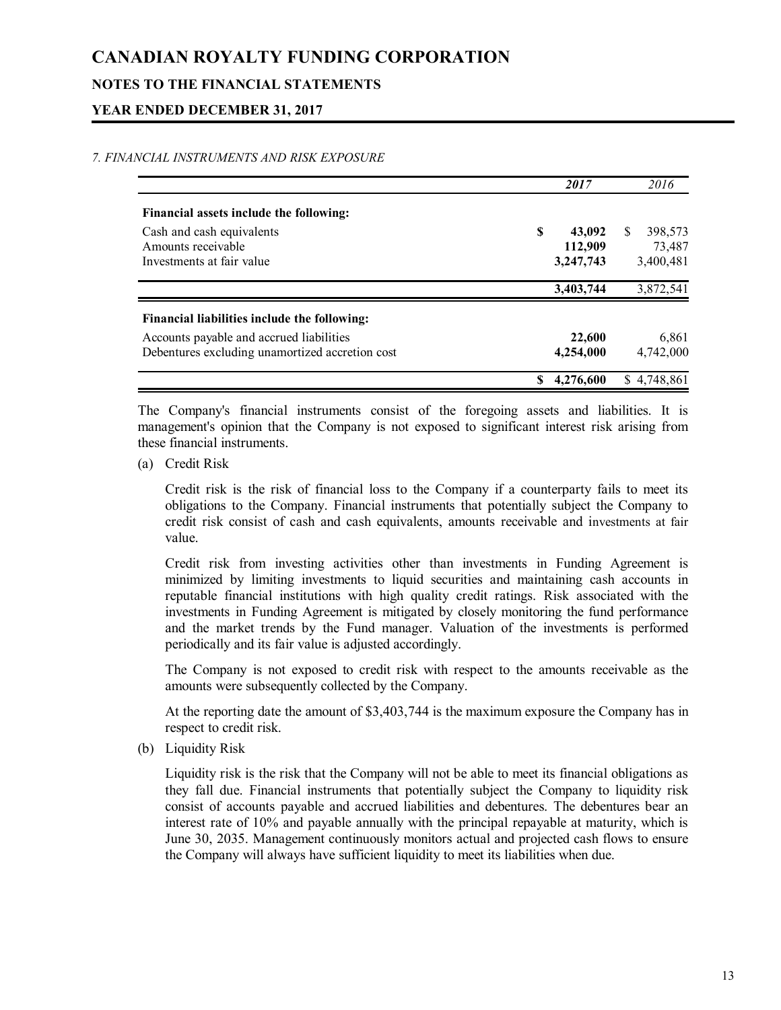#### **NOTES TO THE FINANCIAL STATEMENTS**

#### **YEAR ENDED DECEMBER 31, 2017**

#### *7. FINANCIAL INSTRUMENTS AND RISK EXPOSURE*

|                                                                                             | 2017                                 | 2016                                  |
|---------------------------------------------------------------------------------------------|--------------------------------------|---------------------------------------|
| Financial assets include the following:                                                     |                                      |                                       |
| Cash and cash equivalents<br>Amounts receivable<br>Investments at fair value                | \$<br>43,092<br>112,909<br>3,247,743 | \$.<br>398,573<br>73,487<br>3,400,481 |
|                                                                                             | 3,403,744                            | 3,872,541                             |
| Financial liabilities include the following:                                                |                                      |                                       |
| Accounts payable and accrued liabilities<br>Debentures excluding unamortized accretion cost | 22,600<br>4,254,000                  | 6,861<br>4,742,000                    |
|                                                                                             | \$<br>4,276,600                      | \$4,748,861                           |

The Company's financial instruments consist of the foregoing assets and liabilities. It is management's opinion that the Company is not exposed to significant interest risk arising from these financial instruments.

(a) Credit Risk

Credit risk is the risk of financial loss to the Company if a counterparty fails to meet its obligations to the Company. Financial instruments that potentially subject the Company to credit risk consist of cash and cash equivalents, amounts receivable and investments at fair value.

Credit risk from investing activities other than investments in Funding Agreement is minimized by limiting investments to liquid securities and maintaining cash accounts in reputable financial institutions with high quality credit ratings. Risk associated with the investments in Funding Agreement is mitigated by closely monitoring the fund performance and the market trends by the Fund manager. Valuation of the investments is performed periodically and its fair value is adjusted accordingly.

The Company is not exposed to credit risk with respect to the amounts receivable as the amounts were subsequently collected by the Company.

At the reporting date the amount of \$3,403,744 is the maximum exposure the Company has in respect to credit risk.

(b) Liquidity Risk

Liquidity risk is the risk that the Company will not be able to meet its financial obligations as they fall due. Financial instruments that potentially subject the Company to liquidity risk consist of accounts payable and accrued liabilities and debentures. The debentures bear an interest rate of 10% and payable annually with the principal repayable at maturity, which is June 30, 2035. Management continuously monitors actual and projected cash flows to ensure the Company will always have sufficient liquidity to meet its liabilities when due.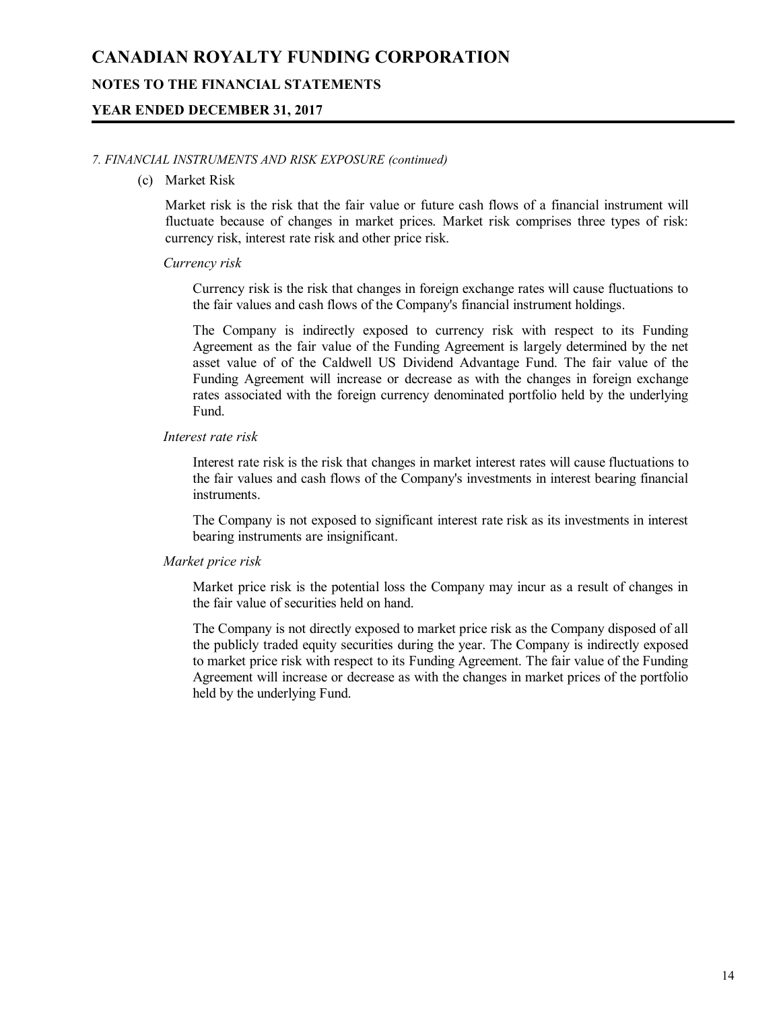#### **NOTES TO THE FINANCIAL STATEMENTS**

#### **YEAR ENDED DECEMBER 31, 2017**

#### *7. FINANCIAL INSTRUMENTS AND RISK EXPOSURE (continued)*

(c) Market Risk

Market risk is the risk that the fair value or future cash flows of a financial instrument will fluctuate because of changes in market prices. Market risk comprises three types of risk: currency risk, interest rate risk and other price risk.

#### *Currency risk*

Currency risk is the risk that changes in foreign exchange rates will cause fluctuations to the fair values and cash flows of the Company's financial instrument holdings.

The Company is indirectly exposed to currency risk with respect to its Funding Agreement as the fair value of the Funding Agreement is largely determined by the net asset value of of the Caldwell US Dividend Advantage Fund. The fair value of the Funding Agreement will increase or decrease as with the changes in foreign exchange rates associated with the foreign currency denominated portfolio held by the underlying Fund.

#### *Interest rate risk*

Interest rate risk is the risk that changes in market interest rates will cause fluctuations to the fair values and cash flows of the Company's investments in interest bearing financial **instruments** 

The Company is not exposed to significant interest rate risk as its investments in interest bearing instruments are insignificant.

#### *Market price risk*

Market price risk is the potential loss the Company may incur as a result of changes in the fair value of securities held on hand.

The Company is not directly exposed to market price risk as the Company disposed of all the publicly traded equity securities during the year. The Company is indirectly exposed to market price risk with respect to its Funding Agreement. The fair value of the Funding Agreement will increase or decrease as with the changes in market prices of the portfolio held by the underlying Fund.